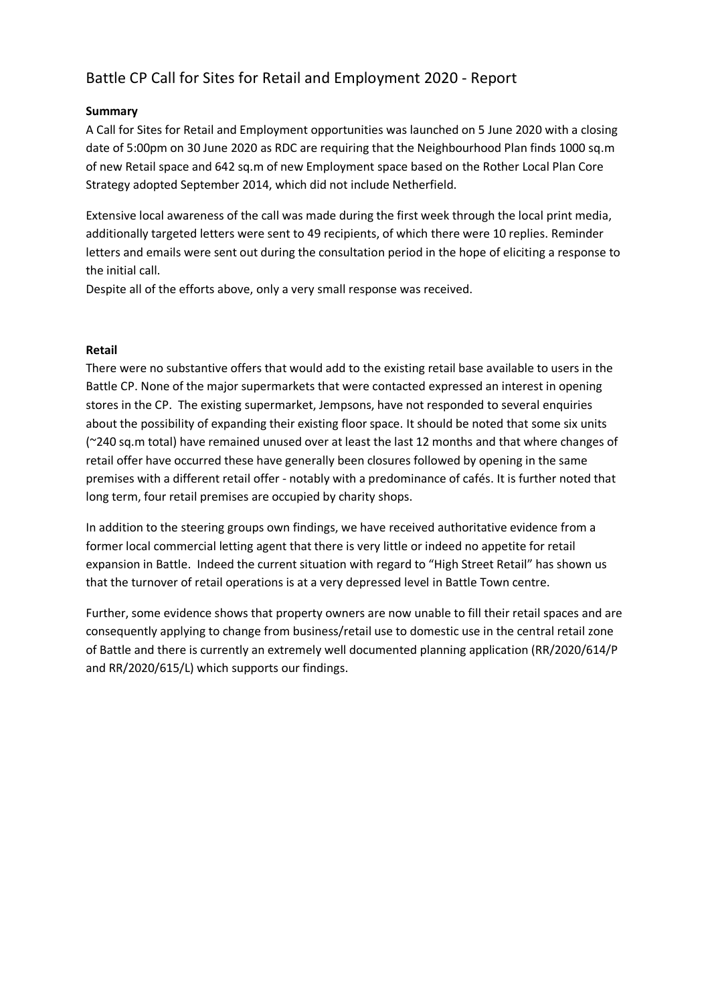# Battle CP Call for Sites for Retail and Employment 2020 - Report

## **Summary**

A Call for Sites for Retail and Employment opportunities was launched on 5 June 2020 with a closing date of 5:00pm on 30 June 2020 as RDC are requiring that the Neighbourhood Plan finds 1000 sq.m of new Retail space and 642 sq.m of new Employment space based on the Rother Local Plan Core Strategy adopted September 2014, which did not include Netherfield.

Extensive local awareness of the call was made during the first week through the local print media, additionally targeted letters were sent to 49 recipients, of which there were 10 replies. Reminder letters and emails were sent out during the consultation period in the hope of eliciting a response to the initial call.

Despite all of the efforts above, only a very small response was received.

#### **Retail**

There were no substantive offers that would add to the existing retail base available to users in the Battle CP. None of the major supermarkets that were contacted expressed an interest in opening stores in the CP. The existing supermarket, Jempsons, have not responded to several enquiries about the possibility of expanding their existing floor space. It should be noted that some six units (~240 sq.m total) have remained unused over at least the last 12 months and that where changes of retail offer have occurred these have generally been closures followed by opening in the same premises with a different retail offer - notably with a predominance of cafés. It is further noted that long term, four retail premises are occupied by charity shops.

In addition to the steering groups own findings, we have received authoritative evidence from a former local commercial letting agent that there is very little or indeed no appetite for retail expansion in Battle. Indeed the current situation with regard to "High Street Retail" has shown us that the turnover of retail operations is at a very depressed level in Battle Town centre.

Further, some evidence shows that property owners are now unable to fill their retail spaces and are consequently applying to change from business/retail use to domestic use in the central retail zone of Battle and there is currently an extremely well documented planning application (RR/2020/614/P and RR/2020/615/L) which supports our findings.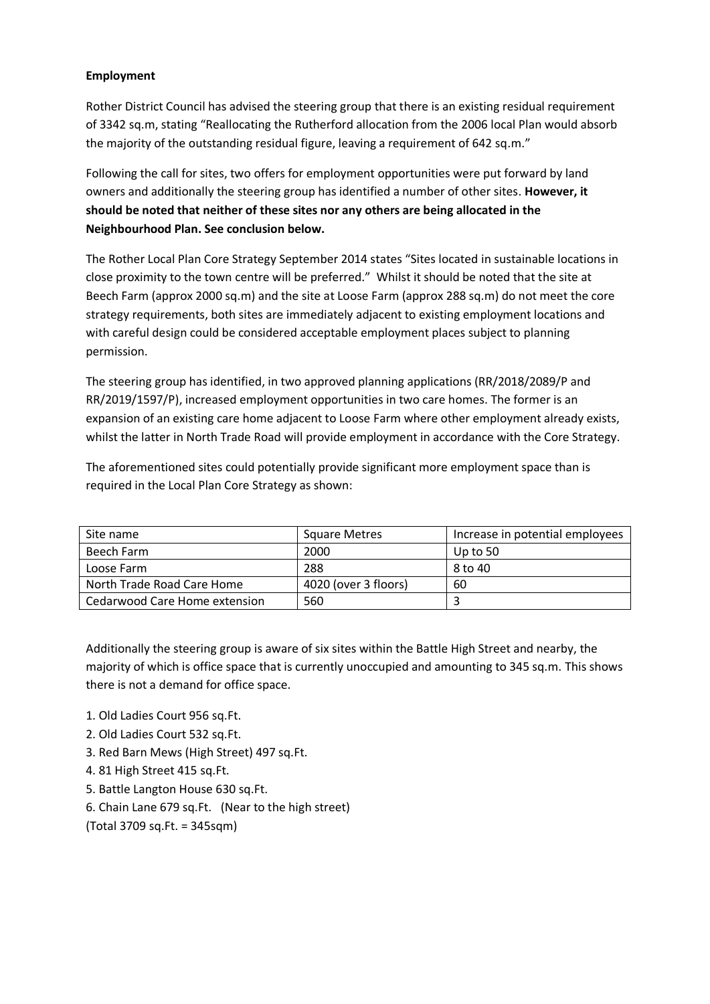# **Employment**

Rother District Council has advised the steering group that there is an existing residual requirement of 3342 sq.m, stating "Reallocating the Rutherford allocation from the 2006 local Plan would absorb the majority of the outstanding residual figure, leaving a requirement of 642 sq.m."

Following the call for sites, two offers for employment opportunities were put forward by land owners and additionally the steering group has identified a number of other sites. **However, it should be noted that neither of these sites nor any others are being allocated in the Neighbourhood Plan. See conclusion below.**

The Rother Local Plan Core Strategy September 2014 states "Sites located in sustainable locations in close proximity to the town centre will be preferred." Whilst it should be noted that the site at Beech Farm (approx 2000 sq.m) and the site at Loose Farm (approx 288 sq.m) do not meet the core strategy requirements, both sites are immediately adjacent to existing employment locations and with careful design could be considered acceptable employment places subject to planning permission.

The steering group has identified, in two approved planning applications (RR/2018/2089/P and RR/2019/1597/P), increased employment opportunities in two care homes. The former is an expansion of an existing care home adjacent to Loose Farm where other employment already exists, whilst the latter in North Trade Road will provide employment in accordance with the Core Strategy.

The aforementioned sites could potentially provide significant more employment space than is required in the Local Plan Core Strategy as shown:

| Site name                     | <b>Square Metres</b> | Increase in potential employees |
|-------------------------------|----------------------|---------------------------------|
| Beech Farm                    | 2000                 | Up to 50                        |
| Loose Farm                    | 288                  | 8 to 40                         |
| North Trade Road Care Home    | 4020 (over 3 floors) | 60                              |
| Cedarwood Care Home extension | 560                  |                                 |

Additionally the steering group is aware of six sites within the Battle High Street and nearby, the majority of which is office space that is currently unoccupied and amounting to 345 sq.m. This shows there is not a demand for office space.

- 1. Old Ladies Court 956 sq.Ft.
- 2. Old Ladies Court 532 sq.Ft.
- 3. Red Barn Mews (High Street) 497 sq.Ft.
- 4. 81 High Street 415 sq.Ft.
- 5. Battle Langton House 630 sq.Ft.
- 6. Chain Lane 679 sq.Ft. (Near to the high street)
- (Total 3709 sq.Ft. = 345sqm)